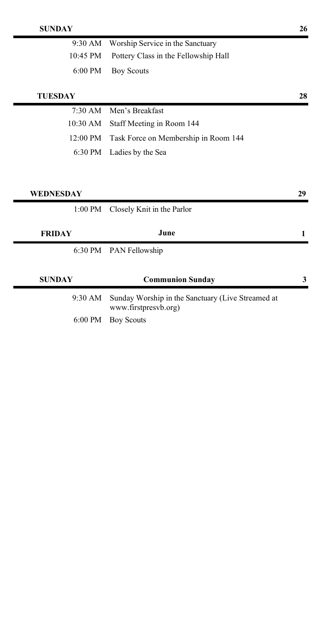| $9:30$ AM          | Worship Service in the Sanctuary                                          |    |
|--------------------|---------------------------------------------------------------------------|----|
| $10:45$ PM         | Pottery Class in the Fellowship Hall                                      |    |
| 6:00 PM            | <b>Boy Scouts</b>                                                         |    |
| <b>TUESDAY</b>     |                                                                           | 28 |
| $7:30$ AM          | Men's Breakfast                                                           |    |
| 10:30 AM           | Staff Meeting in Room 144                                                 |    |
| $12:00 \text{ PM}$ | Task Force on Membership in Room 144                                      |    |
| 6:30 PM            | Ladies by the Sea                                                         |    |
|                    |                                                                           |    |
|                    |                                                                           |    |
| WEDNESDAY          |                                                                           | 29 |
|                    |                                                                           |    |
| $1:00$ PM          | Closely Knit in the Parlor                                                |    |
|                    |                                                                           |    |
| <b>FRIDAY</b>      | June                                                                      | 1  |
|                    | 6:30 PM PAN Fellowship                                                    |    |
|                    |                                                                           |    |
| <b>SUNDAY</b>      | <b>Communion Sunday</b>                                                   | 3  |
| 9:30 AM            | Sunday Worship in the Sanctuary (Live Streamed at<br>www.firstpresvb.org) |    |